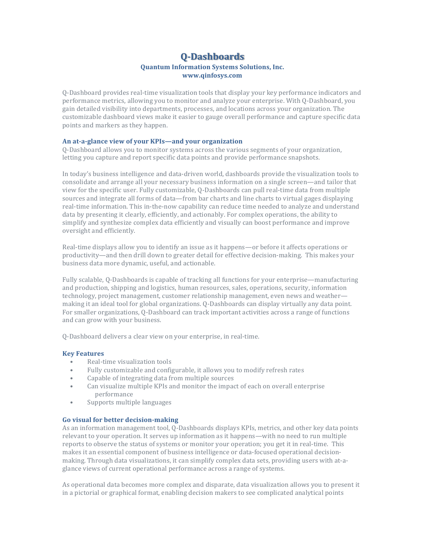# **Q-Dashboards Quantum Information Systems Solutions, Inc. www.qinfosys.com**

Q-Dashboard provides real-time visualization tools that display your key performance indicators and performance metrics, allowing you to monitor and analyze your enterprise. With 0-Dashboard, you gain detailed visibility into departments, processes, and locations across your organization. The customizable dashboard views make it easier to gauge overall performance and capture specific data points and markers as they happen.

### An at-a-glance view of your KPIs—and your organization

Q-Dashboard allows you to monitor systems across the various segments of your organization, letting you capture and report specific data points and provide performance snapshots.

In today's business intelligence and data-driven world, dashboards provide the visualization tools to consolidate and arrange all your necessary business information on a single screen—and tailor that view for the specific user. Fully customizable, Q-Dashboards can pull real-time data from multiple sources and integrate all forms of data—from bar charts and line charts to virtual gages displaying real-time information. This in-the-now capability can reduce time needed to analyze and understand data by presenting it clearly, efficiently, and actionably. For complex operations, the ability to simplify and synthesize complex data efficiently and visually can boost performance and improve oversight and efficiently.

Real-time displays allow you to identify an issue as it happens—or before it affects operations or productivity—and then drill down to greater detail for effective decision-making. This makes your business data more dynamic, useful, and actionable.

Fully scalable, Q-Dashboards is capable of tracking all functions for your enterprise—manufacturing and production, shipping and logistics, human resources, sales, operations, security, information technology, project management, customer relationship management, even news and weather making it an ideal tool for global organizations. Q-Dashboards can display virtually any data point. For smaller organizations, Q-Dashboard can track important activities across a range of functions and can grow with your business.

Q-Dashboard delivers a clear view on your enterprise, in real-time.

#### **Key Features**

- Real-time visualization tools
- Fully customizable and configurable, it allows you to modify refresh rates
- Capable of integrating data from multiple sources
- Can visualize multiple KPIs and monitor the impact of each on overall enterprise performance
- Supports multiple languages

#### Go visual for better decision-making

As an information management tool, O-Dashboards displays KPIs, metrics, and other key data points relevant to your operation. It serves up information as it happens—with no need to run multiple reports to observe the status of systems or monitor your operation; you get it in real-time. This makes it an essential component of business intelligence or data-focused operational decisionmaking. Through data visualizations, it can simplify complex data sets, providing users with at-aglance views of current operational performance across a range of systems.

As operational data becomes more complex and disparate, data visualization allows you to present it in a pictorial or graphical format, enabling decision makers to see complicated analytical points